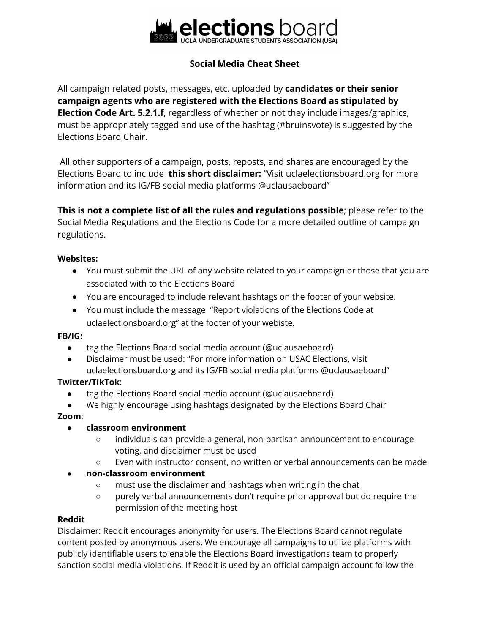

# **Social Media Cheat Sheet**

All campaign related posts, messages, etc. uploaded by **candidates or their senior campaign agents who are registered with the Elections Board as stipulated by Election Code Art. 5.2.1.f**, regardless of whether or not they include images/graphics, must be appropriately tagged and use of the hashtag (#bruinsvote) is suggested by the Elections Board Chair.

All other supporters of a campaign, posts, reposts, and shares are encouraged by the Elections Board to include **this short disclaimer:** "Visit uclaelectionsboard.org for more information and its IG/FB social media platforms @uclausaeboard"

**This is not a complete list of all the rules and regulations possible**; please refer to the Social Media Regulations and the Elections Code for a more detailed outline of campaign regulations.

#### **Websites:**

- You must submit the URL of any website related to your campaign or those that you are associated with to the Elections Board
- You are encouraged to include relevant hashtags on the footer of your website.
- You must include the message "Report violations of the Elections Code at uclaelectionsboard.org" at the footer of your webiste.

#### **FB/IG:**

- tag the Elections Board social media account (@uclausaeboard)
- Disclaimer must be used: "For more information on USAC Elections, visit uclaelectionsboard.org and its IG/FB social media platforms @uclausaeboard"

## **Twitter/TikTok**:

- tag the Elections Board social media account (@uclausaeboard)
- We highly encourage using hashtags designated by the Elections Board Chair

#### **Zoom**:

#### ● **classroom environment**

- individuals can provide a general, non-partisan announcement to encourage voting, and disclaimer must be used
- Even with instructor consent, no written or verbal announcements can be made

## ● **non-classroom environment**

- must use the disclaimer and hashtags when writing in the chat
- purely verbal announcements don't require prior approval but do require the permission of the meeting host

#### **Reddit**

Disclaimer: Reddit encourages anonymity for users. The Elections Board cannot regulate content posted by anonymous users. We encourage all campaigns to utilize platforms with publicly identifiable users to enable the Elections Board investigations team to properly sanction social media violations. If Reddit is used by an official campaign account follow the